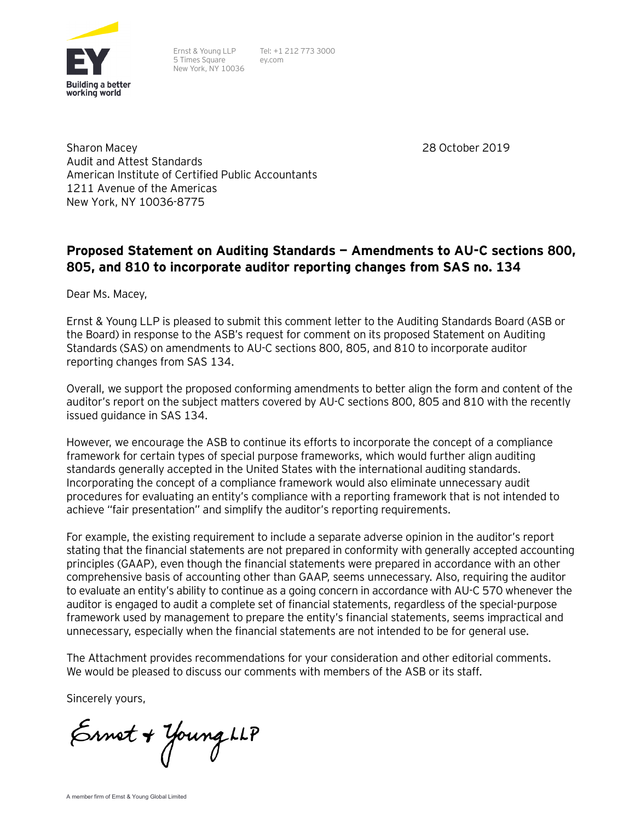

Ernst & Young LLP 5 Times Square New York, NY 10036 Tel: +1 212 773 3000 ey.com

28 October 2019

Sharon Macey Audit and Attest Standards American Institute of Certified Public Accountants 1211 Avenue of the Americas New York, NY 10036-8775

# **Proposed Statement on Auditing Standards — Amendments to AU-C sections 800, 805, and 810 to incorporate auditor reporting changes from SAS no. 134**

Dear Ms. Macey,

Ernst & Young LLP is pleased to submit this comment letter to the Auditing Standards Board (ASB or the Board) in response to the ASB's request for comment on its proposed Statement on Auditing Standards (SAS) on amendments to AU-C sections 800, 805, and 810 to incorporate auditor reporting changes from SAS 134.

Overall, we support the proposed conforming amendments to better align the form and content of the auditor's report on the subject matters covered by AU-C sections 800, 805 and 810 with the recently issued guidance in SAS 134.

However, we encourage the ASB to continue its efforts to incorporate the concept of a compliance framework for certain types of special purpose frameworks, which would further align auditing standards generally accepted in the United States with the international auditing standards. Incorporating the concept of a compliance framework would also eliminate unnecessary audit procedures for evaluating an entity's compliance with a reporting framework that is not intended to achieve "fair presentation" and simplify the auditor's reporting requirements.

For example, the existing requirement to include a separate adverse opinion in the auditor's report stating that the financial statements are not prepared in conformity with generally accepted accounting principles (GAAP), even though the financial statements were prepared in accordance with an other comprehensive basis of accounting other than GAAP, seems unnecessary. Also, requiring the auditor to evaluate an entity's ability to continue as a going concern in accordance with AU-C 570 whenever the auditor is engaged to audit a complete set of financial statements, regardless of the special-purpose framework used by management to prepare the entity's financial statements, seems impractical and unnecessary, especially when the financial statements are not intended to be for general use.

The Attachment provides recommendations for your consideration and other editorial comments. We would be pleased to discuss our comments with members of the ASB or its staff.

Sincerely yours,

Ernet + Young LLP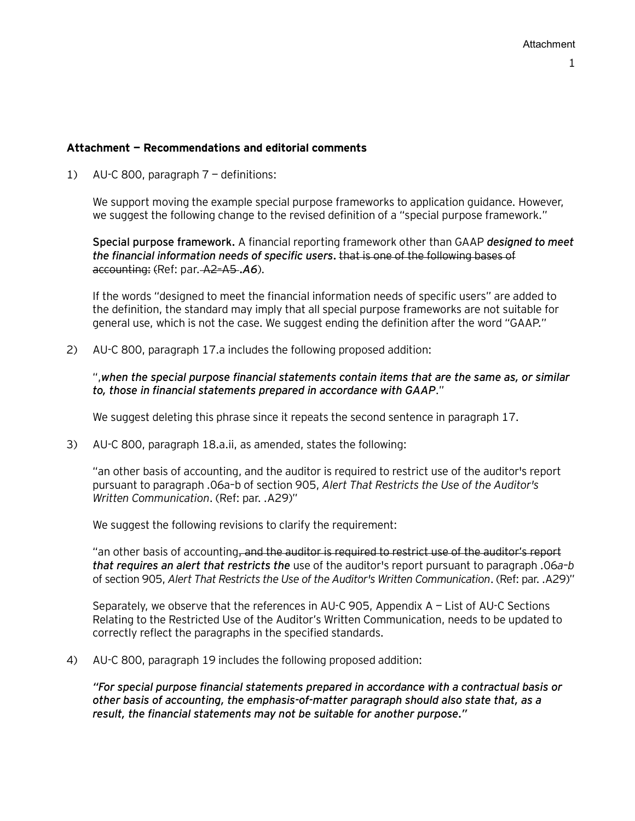## **Attachment — Recommendations and editorial comments**

1) AU-C 800, paragraph 7 — definitions:

We support moving the example special purpose frameworks to application guidance. However, we suggest the following change to the revised definition of a "special purpose framework."

**Special purpose framework.** A financial reporting framework other than GAAP *designed to meet the financial information needs of specific users.* that is one of the following bases of accounting: (Ref: [par.](https://checkpoint.riag.com/app/main/docLinkNew?DocID=iPROFSTDS%3A16141.1&SrcDocId=T0PROFSTDS%3A16141.1-1&feature=ttoc&lastCpReqId=10ebad8&pinpnt=PROFSTDS%3A16141.6910&d=d#PROFSTDS%3A16141.6910) A2–A5 *.A6*).

If the words "designed to meet the financial information needs of specific users" are added to the definition, the standard may imply that all special purpose frameworks are not suitable for general use, which is not the case. We suggest ending the definition after the word "GAAP."

2) AU-C 800, paragraph 17.a includes the following proposed addition:

",*when the special purpose financial statements contain items that are the same as, or similar to, those in financial statements prepared in accordance with GAAP*."

We suggest deleting this phrase since it repeats the second sentence in paragraph 17.

3) AU-C 800, paragraph 18.a.ii, as amended, states the following:

"an other basis of accounting, and the auditor is required to restrict use of the auditor's report pursuant to paragraph .06a–b of section 905, *Alert That Restricts the Use of the Auditor's Written Communication*. (Ref: par. .A29)"

We suggest the following revisions to clarify the requirement:

"an other basis of accounting<del>, and the auditor is required to restrict use of the auditor's report</del> *that requires an alert that restricts the* use of the auditor's report pursuant to paragraph .06*a*–*b*  of section 905, *Alert That Restricts the Use of the Auditor's Written Communication*. (Ref: par. .A29)"

Separately, we observe that the references in AU-C 905, Appendix A — List of AU-C Sections Relating to the Restricted Use of the Auditor's Written Communication, needs to be updated to correctly reflect the paragraphs in the specified standards.

4) AU-C 800, paragraph 19 includes the following proposed addition:

*"For special purpose financial statements prepared in accordance with a contractual basis or other basis of accounting, the emphasis-of-matter paragraph should also state that, as a result, the financial statements may not be suitable for another purpose."*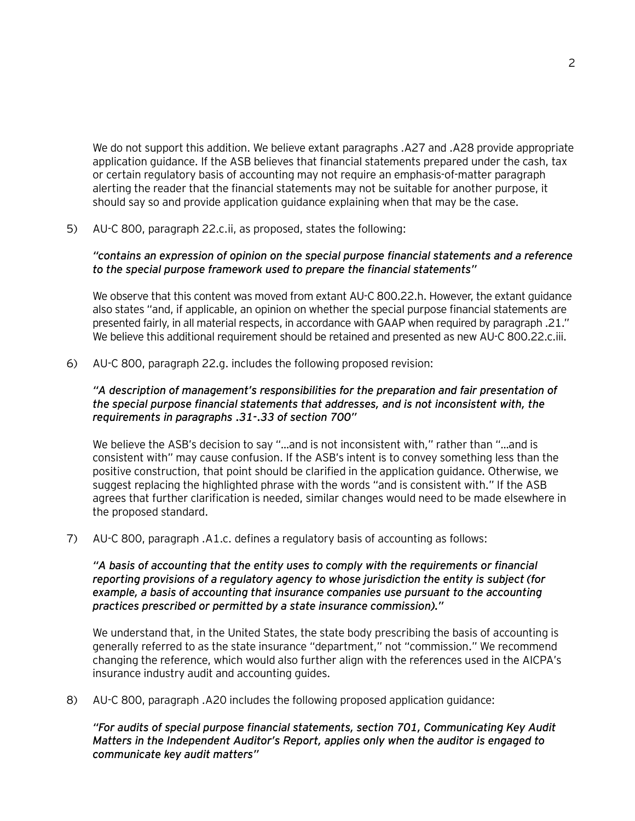We do not support this addition. We believe extant paragraphs .A27 and .A28 provide appropriate application guidance. If the ASB believes that financial statements prepared under the cash, tax or certain regulatory basis of accounting may not require an emphasis-of-matter paragraph alerting the reader that the financial statements may not be suitable for another purpose, it should say so and provide application guidance explaining when that may be the case.

5) AU-C 800, paragraph 22.c.ii, as proposed, states the following:

#### *"contains an expression of opinion on the special purpose financial statements and a reference to the special purpose framework used to prepare the financial statements"*

We observe that this content was moved from extant AU-C 800.22.h. However, the extant guidance also states "and, if applicable, an opinion on whether the special purpose financial statements are presented fairly, in all material respects, in accordance with GAAP when required by paragraph .21." We believe this additional requirement should be retained and presented as new AU-C 800.22.c.iii.

6) AU-C 800, paragraph 22.g. includes the following proposed revision:

## *"A description of management's responsibilities for the preparation and fair presentation of the special purpose financial statements that addresses, and is not inconsistent with, the requirements in paragraphs .31-.33 of section 700"*

We believe the ASB's decision to say "...and is not inconsistent with," rather than "...and is consistent with" may cause confusion. If the ASB's intent is to convey something less than the positive construction, that point should be clarified in the application guidance. Otherwise, we suggest replacing the highlighted phrase with the words "and is consistent with." If the ASB agrees that further clarification is needed, similar changes would need to be made elsewhere in the proposed standard.

7) AU-C 800, paragraph .A1.c. defines a regulatory basis of accounting as follows:

*"A basis of accounting that the entity uses to comply with the requirements or financial reporting provisions of a regulatory agency to whose jurisdiction the entity is subject (for example, a basis of accounting that insurance companies use pursuant to the accounting practices prescribed or permitted by a state insurance commission)."*

We understand that, in the United States, the state body prescribing the basis of accounting is generally referred to as the state insurance "department," not "commission." We recommend changing the reference, which would also further align with the references used in the AICPA's insurance industry audit and accounting guides.

8) AU-C 800, paragraph .A20 includes the following proposed application guidance:

*"For audits of special purpose financial statements, section 701, Communicating Key Audit Matters in the Independent Auditor's Report, applies only when the auditor is engaged to communicate key audit matters"*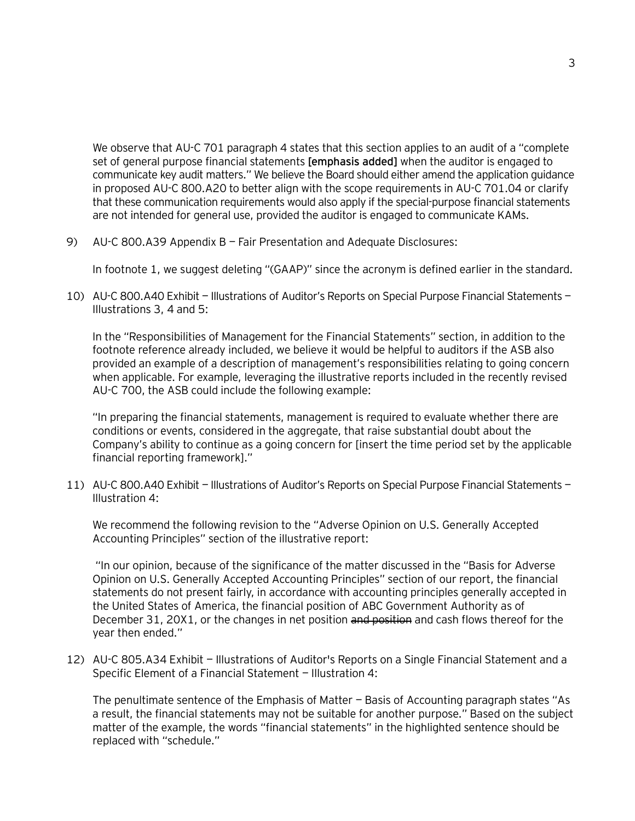We observe that AU-C 701 paragraph 4 states that this section applies to an audit of a "complete set of general purpose financial statements **[emphasis added]** when the auditor is engaged to communicate key audit matters." We believe the Board should either amend the application guidance in proposed AU-C 800.A20 to better align with the scope requirements in AU-C 701.04 or clarify that these communication requirements would also apply if the special-purpose financial statements are not intended for general use, provided the auditor is engaged to communicate KAMs.

9) AU-C 800.A39 Appendix B — Fair Presentation and Adequate Disclosures:

In footnote 1, we suggest deleting "(GAAP)" since the acronym is defined earlier in the standard.

10) AU-C 800.A40 Exhibit — Illustrations of Auditor's Reports on Special Purpose Financial Statements — Illustrations 3, 4 and 5:

In the "Responsibilities of Management for the Financial Statements" section, in addition to the footnote reference already included, we believe it would be helpful to auditors if the ASB also provided an example of a description of management's responsibilities relating to going concern when applicable. For example, leveraging the illustrative reports included in the recently revised AU-C 700, the ASB could include the following example:

"In preparing the financial statements, management is required to evaluate whether there are conditions or events, considered in the aggregate, that raise substantial doubt about the Company's ability to continue as a going concern for [insert the time period set by the applicable financial reporting framework]."

11) AU-C 800.A40 Exhibit — Illustrations of Auditor's Reports on Special Purpose Financial Statements — Illustration 4:

We recommend the following revision to the "Adverse Opinion on U.S. Generally Accepted Accounting Principles" section of the illustrative report:

"In our opinion, because of the significance of the matter discussed in the "Basis for Adverse Opinion on U.S. Generally Accepted Accounting Principles" section of our report, the financial statements do not present fairly, in accordance with accounting principles generally accepted in the United States of America, the financial position of ABC Government Authority as of December 31, 20X1, or the changes in net position and position and cash flows thereof for the year then ended."

12) AU-C 805.A34 Exhibit — Illustrations of Auditor's Reports on a Single Financial Statement and a Specific Element of a Financial Statement — Illustration 4:

The penultimate sentence of the Emphasis of Matter — Basis of Accounting paragraph states "As a result, the financial statements may not be suitable for another purpose." Based on the subject matter of the example, the words "financial statements" in the highlighted sentence should be replaced with "schedule."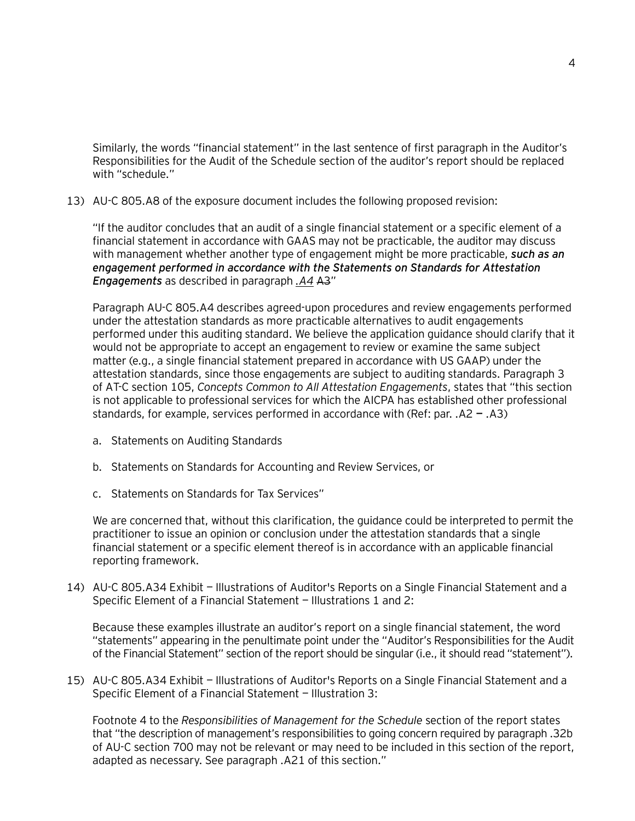Similarly, the words "financial statement" in the last sentence of first paragraph in the Auditor's Responsibilities for the Audit of the Schedule section of the auditor's report should be replaced with "schedule."

13) AU-C 805.A8 of the exposure document includes the following proposed revision:

"If the auditor concludes that an audit of a single financial statement or a specific element of a financial statement in accordance with GAAS may not be practicable, the auditor may discuss with management whether another type of engagement might be more practicable, *such as an engagement performed in accordance with the Statements on Standards for Attestation Engagements* as described in [paragraph](https://checkpoint.riag.com/app/main/docLinkNew?DocID=iPROFSTDS%3A16142.1&SrcDocId=T0PROFSTDS%3A16142.1-1&feature=ttoc&lastCpReqId=f4a8bc&pinpnt=PROFSTDS%3A16142.6413&d=d#PROFSTDS%3A16142.6413) *[.A4](https://checkpoint.riag.com/app/main/docLinkNew?DocID=iPROFSTDS%3A16142.1&SrcDocId=T0PROFSTDS%3A16142.1-1&feature=ttoc&lastCpReqId=f4a8bc&pinpnt=PROFSTDS%3A16142.6413&d=d#PROFSTDS%3A16142.6413)* A3"

Paragraph AU-C 805.A4 describes agreed-upon procedures and review engagements performed under the attestation standards as more practicable alternatives to audit engagements performed under this auditing standard. We believe the application guidance should clarify that it would not be appropriate to accept an engagement to review or examine the same subject matter (e.g., a single financial statement prepared in accordance with US GAAP) under the attestation standards, since those engagements are subject to auditing standards. Paragraph 3 of AT-C section 105, *Concepts Common to All Attestation Engagements*, states that "this section is not applicable to professional services for which the AICPA has established other professional standards, for example, services performed in accordance with (Ref: par. .A2 **—** .A3)

- a. Statements on Auditing Standards
- b. Statements on Standards for Accounting and Review Services, or
- c. Statements on Standards for Tax Services"

We are concerned that, without this clarification, the guidance could be interpreted to permit the practitioner to issue an opinion or conclusion under the attestation standards that a single financial statement or a specific element thereof is in accordance with an applicable financial reporting framework.

14) AU-C 805.A34 Exhibit — Illustrations of Auditor's Reports on a Single Financial Statement and a Specific Element of a Financial Statement — Illustrations 1 and 2:

Because these examples illustrate an auditor's report on a single financial statement, the word "statements" appearing in the penultimate point under the "Auditor's Responsibilities for the Audit of the Financial Statement" section of the report should be singular (i.e., it should read "statement").

15) AU-C 805.A34 Exhibit — Illustrations of Auditor's Reports on a Single Financial Statement and a Specific Element of a Financial Statement — Illustration 3:

Footnote 4 to the *Responsibilities of Management for the Schedule* section of the report states that "the description of management's responsibilities to going concern required by paragraph .32b of AU-C section 700 may not be relevant or may need to be included in this section of the report, adapted as necessary. See paragraph .A21 of this section."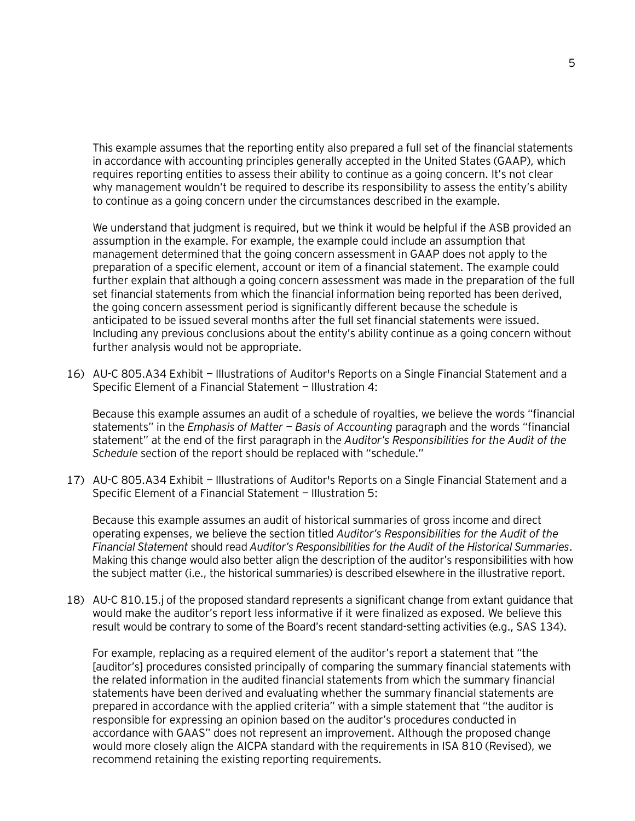This example assumes that the reporting entity also prepared a full set of the financial statements in accordance with accounting principles generally accepted in the United States (GAAP), which requires reporting entities to assess their ability to continue as a going concern. It's not clear why management wouldn't be required to describe its responsibility to assess the entity's ability to continue as a going concern under the circumstances described in the example.

We understand that judgment is required, but we think it would be helpful if the ASB provided an assumption in the example. For example, the example could include an assumption that management determined that the going concern assessment in GAAP does not apply to the preparation of a specific element, account or item of a financial statement. The example could further explain that although a going concern assessment was made in the preparation of the full set financial statements from which the financial information being reported has been derived, the going concern assessment period is significantly different because the schedule is anticipated to be issued several months after the full set financial statements were issued. Including any previous conclusions about the entity's ability continue as a going concern without further analysis would not be appropriate.

16) AU-C 805.A34 Exhibit — Illustrations of Auditor's Reports on a Single Financial Statement and a Specific Element of a Financial Statement — Illustration 4:

Because this example assumes an audit of a schedule of royalties, we believe the words "financial statements" in the *Emphasis of Matter — Basis of Accounting* paragraph and the words "financial statement" at the end of the first paragraph in the *Auditor's Responsibilities for the Audit of the Schedule* section of the report should be replaced with "schedule."

17) AU-C 805.A34 Exhibit — Illustrations of Auditor's Reports on a Single Financial Statement and a Specific Element of a Financial Statement — Illustration 5:

Because this example assumes an audit of historical summaries of gross income and direct operating expenses, we believe the section titled *Auditor's Responsibilities for the Audit of the Financial Statement* should read *Auditor's Responsibilities for the Audit of the Historical Summaries*. Making this change would also better align the description of the auditor's responsibilities with how the subject matter (i.e., the historical summaries) is described elsewhere in the illustrative report.

18) AU-C 810.15.j of the proposed standard represents a significant change from extant guidance that would make the auditor's report less informative if it were finalized as exposed. We believe this result would be contrary to some of the Board's recent standard-setting activities (e.g., SAS 134).

For example, replacing as a required element of the auditor's report a statement that "the [auditor's] procedures consisted principally of comparing the summary financial statements with the related information in the audited financial statements from which the summary financial statements have been derived and evaluating whether the summary financial statements are prepared in accordance with the applied criteria" with a simple statement that "the auditor is responsible for expressing an opinion based on the auditor's procedures conducted in accordance with GAAS" does not represent an improvement. Although the proposed change would more closely align the AICPA standard with the requirements in ISA 810 (Revised), we recommend retaining the existing reporting requirements.